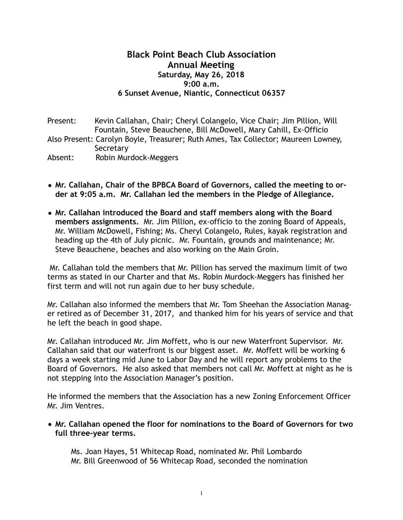# **Black Point Beach Club Association Annual Meeting Saturday, May 26, 2018 9:00 a.m. 6 Sunset Avenue, Niantic, Connecticut 06357**

Present: Kevin Callahan, Chair; Cheryl Colangelo, Vice Chair; Jim Pillion, Will Fountain, Steve Beauchene, Bill McDowell, Mary Cahill, Ex-Officio Also Present: Carolyn Boyle, Treasurer; Ruth Ames, Tax Collector; Maureen Lowney, **Secretary** Absent: Robin Murdock-Meggers

- **• Mr. Callahan, Chair of the BPBCA Board of Governors, called the meeting to order at 9:05 a.m. Mr. Callahan led the members in the Pledge of Allegiance.**
- **• Mr. Callahan introduced the Board and staff members along with the Board members assignments.** Mr. Jim Pillion**,** ex-officio to the zoning Board of Appeals, Mr. William McDowell, Fishing; Ms. Cheryl Colangelo, Rules, kayak registration and heading up the 4th of July picnic. Mr. Fountain, grounds and maintenance; Mr. Steve Beauchene, beaches and also working on the Main Groin.

 Mr. Callahan told the members that Mr. Pillion has served the maximum limit of two terms as stated in our Charter and that Ms. Robin Murdock-Meggers has finished her first term and will not run again due to her busy schedule.

Mr. Callahan also informed the members that Mr. Tom Sheehan the Association Manager retired as of December 31, 2017, and thanked him for his years of service and that he left the beach in good shape.

Mr. Callahan introduced Mr. Jim Moffett, who is our new Waterfront Supervisor. Mr. Callahan said that our waterfront is our biggest asset. Mr. Moffett will be working 6 days a week starting mid June to Labor Day and he will report any problems to the Board of Governors. He also asked that members not call Mr. Moffett at night as he is not stepping into the Association Manager's position.

He informed the members that the Association has a new Zoning Enforcement Officer Mr. Jim Ventres.

**• Mr. Callahan opened the floor for nominations to the Board of Governors for two full three-year terms.** 

Ms. Joan Hayes, 51 Whitecap Road, nominated Mr. Phil Lombardo Mr. Bill Greenwood of 56 Whitecap Road, seconded the nomination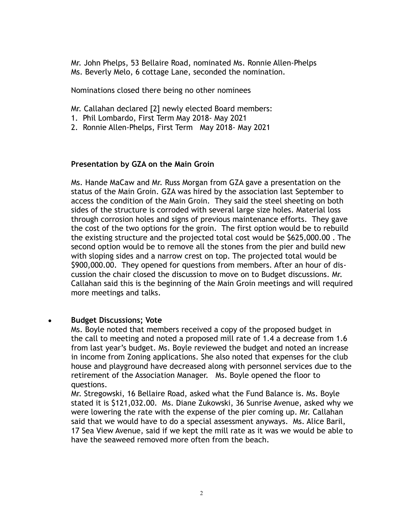Mr. John Phelps, 53 Bellaire Road, nominated Ms. Ronnie Allen-Phelps Ms. Beverly Melo, 6 cottage Lane, seconded the nomination.

Nominations closed there being no other nominees

Mr. Callahan declared [2] newly elected Board members:

- 1. Phil Lombardo, First Term May 2018- May 2021
- 2. Ronnie Allen-Phelps, First Term May 2018- May 2021

# **Presentation by GZA on the Main Groin**

 Ms. Hande MaCaw and Mr. Russ Morgan from GZA gave a presentation on the status of the Main Groin. GZA was hired by the association last September to access the condition of the Main Groin. They said the steel sheeting on both sides of the structure is corroded with several large size holes. Material loss through corrosion holes and signs of previous maintenance efforts. They gave the cost of the two options for the groin. The first option would be to rebuild the existing structure and the projected total cost would be \$625,000.00 . The second option would be to remove all the stones from the pier and build new with sloping sides and a narrow crest on top. The projected total would be \$900,000.00. They opened for questions from members. After an hour of discussion the chair closed the discussion to move on to Budget discussions. Mr. Callahan said this is the beginning of the Main Groin meetings and will required more meetings and talks.

# • **Budget Discussions; Vote**

Ms. Boyle noted that members received a copy of the proposed budget in the call to meeting and noted a proposed mill rate of 1.4 a decrease from 1.6 from last year's budget. Ms. Boyle reviewed the budget and noted an increase in income from Zoning applications. She also noted that expenses for the club house and playground have decreased along with personnel services due to the retirement of the Association Manager. Ms. Boyle opened the floor to questions.

 Mr. Stregowski, 16 Bellaire Road, asked what the Fund Balance is. Ms. Boyle stated it is \$121,032.00. Ms. Diane Zukowski, 36 Sunrise Avenue, asked why we were lowering the rate with the expense of the pier coming up. Mr. Callahan said that we would have to do a special assessment anyways. Ms. Alice Baril, 17 Sea View Avenue, said if we kept the mill rate as it was we would be able to have the seaweed removed more often from the beach.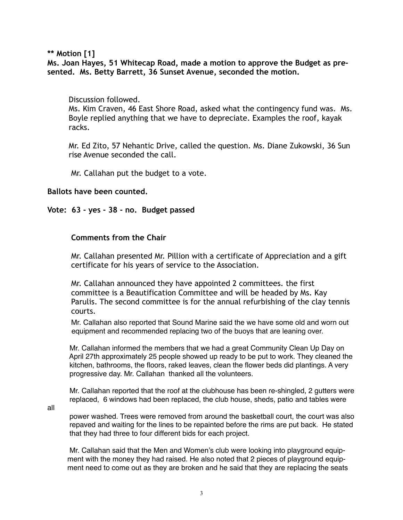**\*\* Motion [1]** 

**Ms. Joan Hayes, 51 Whitecap Road, made a motion to approve the Budget as presented. Ms. Betty Barrett, 36 Sunset Avenue, seconded the motion.** 

#### Discussion followed.

 Ms. Kim Craven, 46 East Shore Road, asked what the contingency fund was. Ms. Boyle replied anything that we have to depreciate. Examples the roof, kayak racks.

 Mr. Ed Zito, 57 Nehantic Drive, called the question. Ms. Diane Zukowski, 36 Sun rise Avenue seconded the call.

Mr. Callahan put the budget to a vote.

### **Ballots have been counted.**

#### **Vote: 63 - yes - 38 - no. Budget passed**

### **Comments from the Chair**

 Mr. Callahan presented Mr. Pillion with a certificate of Appreciation and a gift certificate for his years of service to the Association.

 Mr. Callahan announced they have appointed 2 committees. the first committee is a Beautification Committee and will be headed by Ms. Kay Parulis. The second committee is for the annual refurbishing of the clay tennis courts.

 Mr. Callahan also reported that Sound Marine said the we have some old and worn out equipment and recommended replacing two of the buoys that are leaning over.

 Mr. Callahan informed the members that we had a great Community Clean Up Day on April 27th approximately 25 people showed up ready to be put to work. They cleaned the kitchen, bathrooms, the floors, raked leaves, clean the flower beds did plantings. A very progressive day. Mr. Callahan thanked all the volunteers.

 Mr. Callahan reported that the roof at the clubhouse has been re-shingled, 2 gutters were replaced, 6 windows had been replaced, the club house, sheds, patio and tables were

all

 power washed. Trees were removed from around the basketball court, the court was also repaved and waiting for the lines to be repainted before the rims are put back. He stated that they had three to four different bids for each project.

 Mr. Callahan said that the Men and Women's club were looking into playground equip ment with the money they had raised. He also noted that 2 pieces of playground equip ment need to come out as they are broken and he said that they are replacing the seats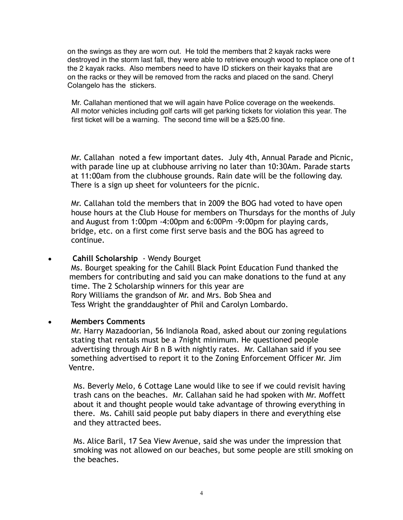on the swings as they are worn out. He told the members that 2 kayak racks were destroyed in the storm last fall, they were able to retrieve enough wood to replace one of t the 2 kayak racks. Also members need to have ID stickers on their kayaks that are on the racks or they will be removed from the racks and placed on the sand. Cheryl Colangelo has the stickers.

 Mr. Callahan mentioned that we will again have Police coverage on the weekends. All motor vehicles including golf carts will get parking tickets for violation this year. The first ticket will be a warning. The second time will be a \$25.00 fine.

Mr. Callahan noted a few important dates. July 4th, Annual Parade and Picnic, with parade line up at clubhouse arriving no later than 10:30Am. Parade starts at 11:00am from the clubhouse grounds. Rain date will be the following day. There is a sign up sheet for volunteers for the picnic.

 Mr. Callahan told the members that in 2009 the BOG had voted to have open house hours at the Club House for members on Thursdays for the months of July and August from 1:00pm -4:00pm and 6:00Pm -9:00pm for playing cards, bridge, etc. on a first come first serve basis and the BOG has agreed to continue.

### • **Cahill Scholarship** - Wendy Bourget

 Ms. Bourget speaking for the Cahill Black Point Education Fund thanked the members for contributing and said you can make donations to the fund at any time. The 2 Scholarship winners for this year are Rory Williams the grandson of Mr. and Mrs. Bob Shea and Tess Wright the granddaughter of Phil and Carolyn Lombardo.

### • **Members Comments**

Mr. Harry Mazadoorian, 56 Indianola Road, asked about our zoning regulations stating that rentals must be a 7night minimum. He questioned people advertising through Air B n B with nightly rates. Mr. Callahan said if you see something advertised to report it to the Zoning Enforcement Officer Mr. Jim Ventre.

 Ms. Beverly Melo, 6 Cottage Lane would like to see if we could revisit having trash cans on the beaches. Mr. Callahan said he had spoken with Mr. Moffett about it and thought people would take advantage of throwing everything in there. Ms. Cahill said people put baby diapers in there and everything else and they attracted bees.

 Ms. Alice Baril, 17 Sea View Avenue, said she was under the impression that smoking was not allowed on our beaches, but some people are still smoking on the beaches.